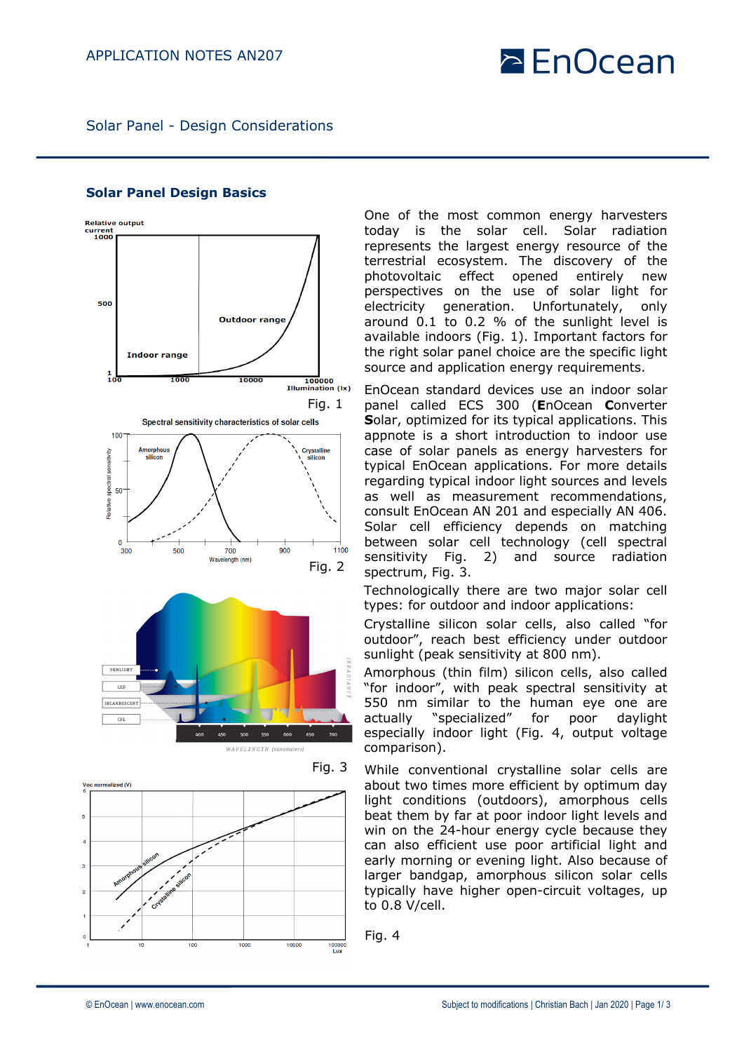# $\geq$  EnOcean

Solar Panel - Design Considerations

### **Relative output** kelative<br>current<br>1000 500 **Outdoor range Indoor range** 1000 10000  $100000$ **Illumination (Ix)** Fig. 1Spectral sensitivity characteristics of solar cells 100 Crystalline silicon silicon spectral 50 alative  $\Omega$  $900$ 1100 300 500 700 Wavelength (nm) Fig. 2 SUNLIGH LE INCANDESCENT  $CFL$ 550 600 WAVELENGTH (nanometers



Fig. 3 Voc normalized (V) 1000 10000 100 100000<br>Lux

One of the most common energy harvesters today is the solar cell. Solar radiation represents the largest energy resource of the terrestrial ecosystem. The discovery of the photovoltaic effect opened entirely new perspectives on the use of solar light for electricity generation. Unfortunately, only around 0.1 to 0.2 % of the sunlight level is available indoors (Fig. 1). Important factors for the right solar panel choice are the specific light source and application energy requirements.

EnOcean standard devices use an indoor solar panel called ECS 300 (**E**nOcean **C**onverter **S**olar, optimized for its typical applications. This appnote is a short introduction to indoor use case of solar panels as energy harvesters for typical EnOcean applications. For more details regarding typical indoor light sources and levels as well as measurement recommendations, consult EnOcean AN 201 and especially AN 406. Solar cell efficiency depends on matching between solar cell technology (cell spectral sensitivity Fig. 2) and source radiation spectrum, Fig. 3.

Technologically there are two major solar cell types: for outdoor and indoor applications:

Crystalline silicon solar cells, also called "for outdoor", reach best efficiency under outdoor sunlight (peak sensitivity at 800 nm).

Amorphous (thin film) silicon cells, also called "for indoor", with peak spectral sensitivity at 550 nm similar to the human eye one are actually "specialized" for poor daylight especially indoor light (Fig. 4, output voltage comparison).

While conventional crystalline solar cells are about two times more efficient by optimum day light conditions (outdoors), amorphous cells beat them by far at poor indoor light levels and win on the 24-hour energy cycle because they can also efficient use poor artificial light and early morning or evening light. Also because of larger bandgap, amorphous silicon solar cells typically have higher open-circuit voltages, up to 0.8 V/cell.

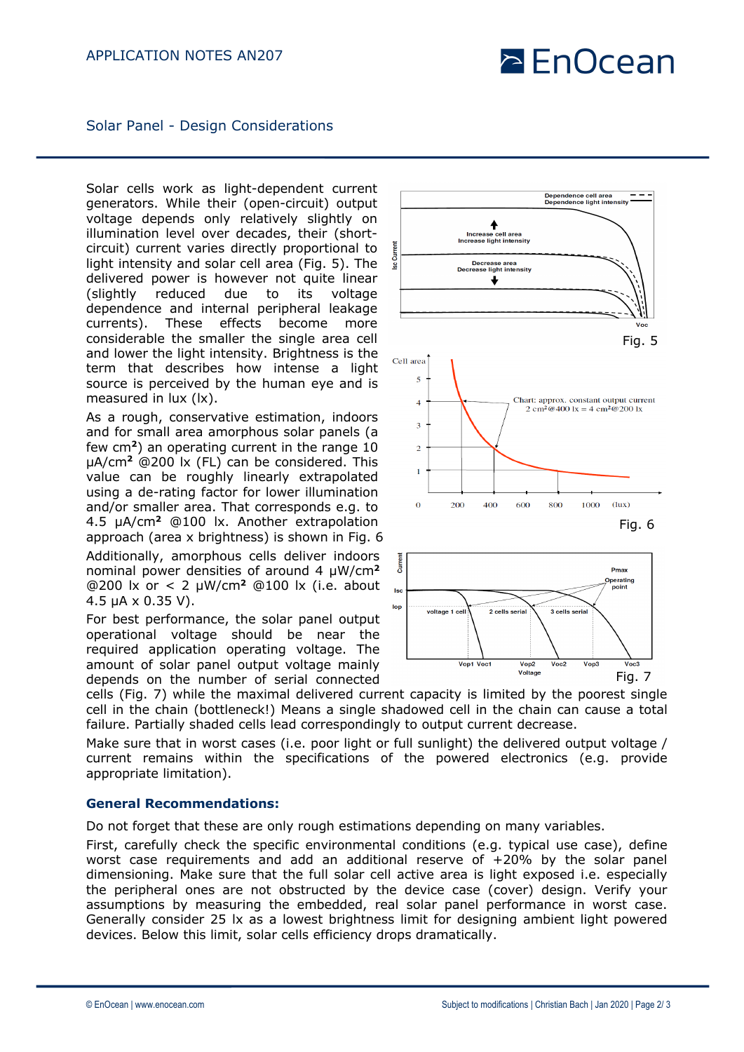## $\geq$  EnOcean

Solar Panel - Design Considerations

Solar cells work as light-dependent current generators. While their (open-circuit) output voltage depends only relatively slightly on illumination level over decades, their (shortcircuit) current varies directly proportional to light intensity and solar cell area (Fig. 5). The delivered power is however not quite linear (slightly reduced due to its voltage dependence and internal peripheral leakage currents). These effects become more considerable the smaller the single area cell and lower the light intensity. Brightness is the term that describes how intense a light source is perceived by the human eye and is measured in lux (lx).

As a rough, conservative estimation, indoors and for small area amorphous solar panels (a few cm**<sup>2</sup>**) an operating current in the range 10 µA/cm**<sup>2</sup>** @200 lx (FL) can be considered. This value can be roughly linearly extrapolated using a de-rating factor for lower illumination and/or smaller area. That corresponds e.g. to 4.5 µA/cm**<sup>2</sup>** @100 lx. Another extrapolation approach (area x brightness) is shown in Fig. 6 Additionally, amorphous cells deliver indoors nominal power densities of around 4 µW/cm**<sup>2</sup>** @200 lx or < 2 µW/cm**<sup>2</sup>** @100 lx (i.e. about 4.5 µA x 0.35 V).

For best performance, the solar panel output operational voltage should be near the required application operating voltage. The amount of solar panel output voltage mainly depends on the number of serial connected



Make sure that in worst cases (i.e. poor light or full sunlight) the delivered output voltage / current remains within the specifications of the powered electronics (e.g. provide appropriate limitation).

### **General Recommendations:**

Do not forget that these are only rough estimations depending on many variables.

First, carefully check the specific environmental conditions (e.g. typical use case), define worst case requirements and add an additional reserve of +20% by the solar panel dimensioning. Make sure that the full solar cell active area is light exposed i.e. especially the peripheral ones are not obstructed by the device case (cover) design. Verify your assumptions by measuring the embedded, real solar panel performance in worst case. Generally consider 25 lx as a lowest brightness limit for designing ambient light powered devices. Below this limit, solar cells efficiency drops dramatically.